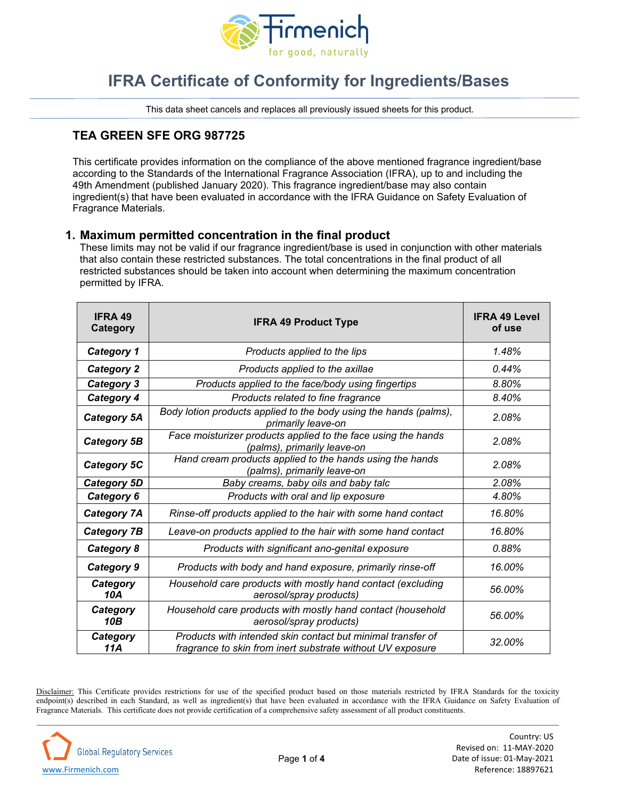

# **IFRA Certificate of Conformity for Ingredients/Bases**

This data sheet cancels and replaces all previously issued sheets for this product.

## **TEA GREEN SFE ORG 987725**

This certificate provides information on the compliance of the above mentioned fragrance ingredient/base according to the Standards of the International Fragrance Association (IFRA), up to and including the 49th Amendment (published January 2020). This fragrance ingredient/base may also contain ingredient(s) that have been evaluated in accordance with the IFRA Guidance on Safety Evaluation of Fragrance Materials.

#### **1. Maximum permitted concentration in the final product**

These limits may not be valid if our fragrance ingredient/base is used in conjunction with other materials that also contain these restricted substances. The total concentrations in the final product of all restricted substances should be taken into account when determining the maximum concentration permitted by IFRA.

| <b>IFRA 49</b><br>Category | <b>IFRA 49 Product Type</b>                                                                                               | <b>IFRA 49 Level</b><br>of use |  |
|----------------------------|---------------------------------------------------------------------------------------------------------------------------|--------------------------------|--|
| <b>Category 1</b>          | Products applied to the lips                                                                                              | 1.48%                          |  |
| <b>Category 2</b>          | Products applied to the axillae                                                                                           | 0.44%                          |  |
| <b>Category 3</b>          | Products applied to the face/body using fingertips                                                                        | 8.80%                          |  |
| Category 4                 | Products related to fine fragrance                                                                                        | 8.40%                          |  |
| <b>Category 5A</b>         | Body lotion products applied to the body using the hands (palms),<br>primarily leave-on                                   | 2.08%                          |  |
| Category 5B                | Face moisturizer products applied to the face using the hands<br>(palms), primarily leave-on                              | 2.08%                          |  |
| Category 5C                | Hand cream products applied to the hands using the hands<br>(palms), primarily leave-on                                   | 2.08%                          |  |
| Category 5D                | Baby creams, baby oils and baby talc                                                                                      | 2.08%                          |  |
| Category 6                 | Products with oral and lip exposure                                                                                       | 4.80%                          |  |
| <b>Category 7A</b>         | Rinse-off products applied to the hair with some hand contact                                                             | 16.80%                         |  |
| <b>Category 7B</b>         | Leave-on products applied to the hair with some hand contact                                                              | 16.80%                         |  |
| Category 8                 | Products with significant ano-genital exposure                                                                            | 0.88%                          |  |
| Category 9                 | Products with body and hand exposure, primarily rinse-off                                                                 | 16.00%                         |  |
| Category<br>10A            | Household care products with mostly hand contact (excluding<br>aerosol/spray products)                                    | 56.00%                         |  |
| Category<br>10B            | Household care products with mostly hand contact (household<br>aerosol/spray products)                                    | 56.00%                         |  |
| Category<br>11A            | Products with intended skin contact but minimal transfer of<br>fragrance to skin from inert substrate without UV exposure | 32.00%                         |  |

Disclaimer: This Certificate provides restrictions for use of the specified product based on those materials restricted by IFRA Standards for the toxicity endpoint(s) described in each Standard, as well as ingredient(s) that have been evaluated in accordance with the IFRA Guidance on Safety Evaluation of Fragrance Materials. This certificate does not provide certification of a comprehensive safety assessment of all product constituents.

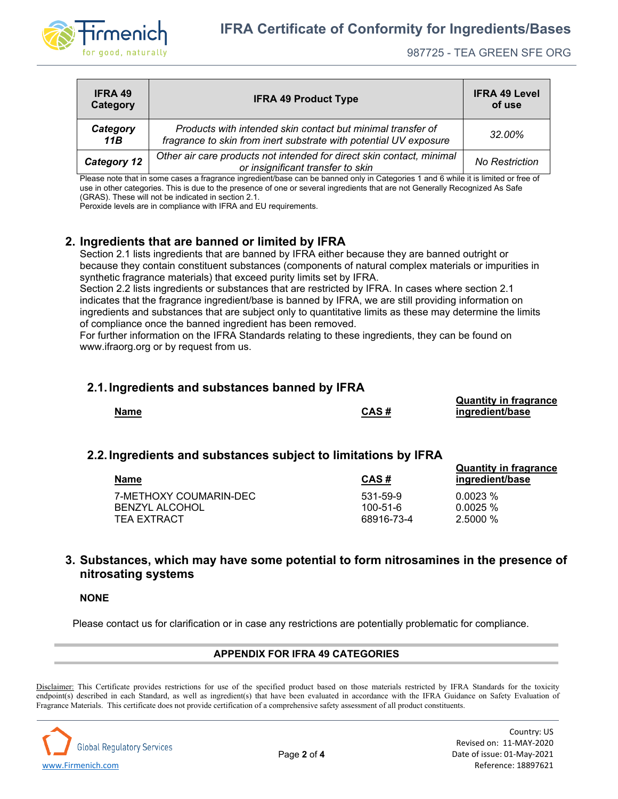

| <b>IFRA 49</b><br>Category | <b>IFRA 49 Product Type</b>                                                                                                      | <b>IFRA 49 Level</b><br>of use |
|----------------------------|----------------------------------------------------------------------------------------------------------------------------------|--------------------------------|
| Category<br>11B            | Products with intended skin contact but minimal transfer of<br>fragrance to skin from inert substrate with potential UV exposure | 32.00%                         |
| <b>Category 12</b>         | Other air care products not intended for direct skin contact, minimal<br>or insignificant transfer to skin                       | <b>No Restriction</b>          |

Please note that in some cases a fragrance ingredient/base can be banned only in Categories 1 and 6 while it is limited or free of use in other categories. This is due to the presence of one or several ingredients that are not Generally Recognized As Safe (GRAS). These will not be indicated in section 2.1.

Peroxide levels are in compliance with IFRA and EU requirements.

## **2. Ingredients that are banned or limited by IFRA**

Section 2.1 lists ingredients that are banned by IFRA either because they are banned outright or because they contain constituent substances (components of natural complex materials or impurities in synthetic fragrance materials) that exceed purity limits set by IFRA.

Section 2.2 lists ingredients or substances that are restricted by IFRA. In cases where section 2.1 indicates that the fragrance ingredient/base is banned by IFRA, we are still providing information on ingredients and substances that are subject only to quantitative limits as these may determine the limits of compliance once the banned ingredient has been removed.

For further information on the IFRA Standards relating to these ingredients, they can be found on www.ifraorg.org or by request from us.

#### **2.1.Ingredients and substances banned by IFRA**

|             |      | <b>QUATILITY III HAYIAIICE</b> |
|-------------|------|--------------------------------|
| <b>Name</b> | CAS# | ingredient/base                |
|             |      |                                |

### **2.2.Ingredients and substances subject to limitations by IFRA**

| <b>Name</b>            | CAS#       | Quantity in Iragrance<br>ingredient/base |
|------------------------|------------|------------------------------------------|
| 7-METHOXY COUMARIN-DEC | 531-59-9   | 0.0023%                                  |
| <b>BENZYL ALCOHOL</b>  | 100-51-6   | 0.0025%                                  |
| TEA EXTRACT            | 68916-73-4 | 2.5000%                                  |

### **3. Substances, which may have some potential to form nitrosamines in the presence of nitrosating systems**

#### **NONE**

Please contact us for clarification or in case any restrictions are potentially problematic for compliance.

#### **APPENDIX FOR IFRA 49 CATEGORIES**

Disclaimer: This Certificate provides restrictions for use of the specified product based on those materials restricted by IFRA Standards for the toxicity endpoint(s) described in each Standard, as well as ingredient(s) that have been evaluated in accordance with the IFRA Guidance on Safety Evaluation of Fragrance Materials. This certificate does not provide certification of a comprehensive safety assessment of all product constituents.



**Quantity in fragrance** 

**Quantity in fragrance**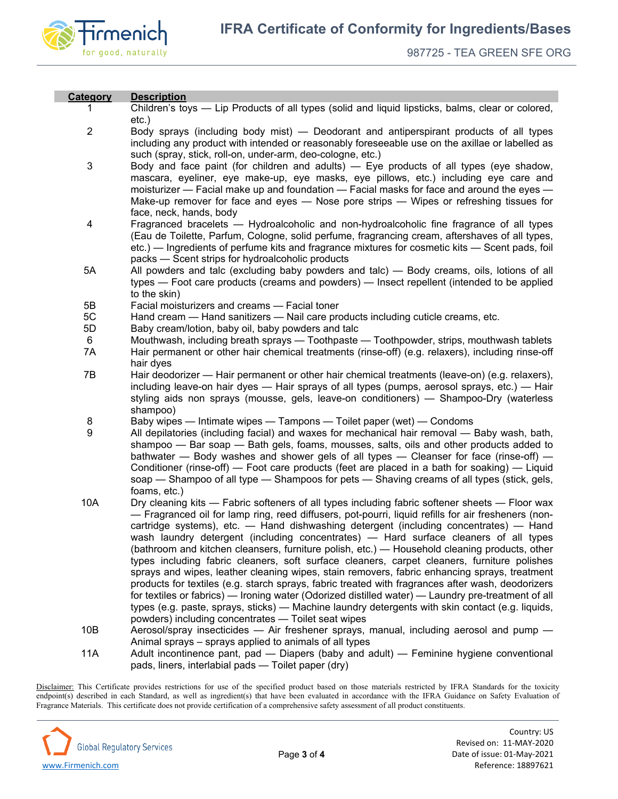

Г

| Category       | <b>Description</b>                                                                                  |
|----------------|-----------------------------------------------------------------------------------------------------|
| 1.             | Children's toys — Lip Products of all types (solid and liquid lipsticks, balms, clear or colored,   |
|                | $etc.$ )                                                                                            |
| $\overline{2}$ | Body sprays (including body mist) — Deodorant and antiperspirant products of all types              |
|                | including any product with intended or reasonably foreseeable use on the axillae or labelled as     |
|                | such (spray, stick, roll-on, under-arm, deo-cologne, etc.)                                          |
| $\mathsf 3$    | Body and face paint (for children and adults) - Eye products of all types (eye shadow,              |
|                | mascara, eyeliner, eye make-up, eye masks, eye pillows, etc.) including eye care and                |
|                | moisturizer — Facial make up and foundation — Facial masks for face and around the eyes —           |
|                | Make-up remover for face and eyes - Nose pore strips - Wipes or refreshing tissues for              |
|                | face, neck, hands, body                                                                             |
| 4              | Fragranced bracelets — Hydroalcoholic and non-hydroalcoholic fine fragrance of all types            |
|                | (Eau de Toilette, Parfum, Cologne, solid perfume, fragrancing cream, aftershaves of all types,      |
|                | etc.) — Ingredients of perfume kits and fragrance mixtures for cosmetic kits — Scent pads, foil     |
|                | packs - Scent strips for hydroalcoholic products                                                    |
| 5A             | All powders and talc (excluding baby powders and talc) — Body creams, oils, lotions of all          |
|                | types — Foot care products (creams and powders) — Insect repellent (intended to be applied          |
|                | to the skin)                                                                                        |
| 5B             | Facial moisturizers and creams - Facial toner                                                       |
| 5C             | Hand cream — Hand sanitizers — Nail care products including cuticle creams, etc.                    |
| 5D             | Baby cream/lotion, baby oil, baby powders and talc                                                  |
| 6              | Mouthwash, including breath sprays - Toothpaste - Toothpowder, strips, mouthwash tablets            |
| 7A             | Hair permanent or other hair chemical treatments (rinse-off) (e.g. relaxers), including rinse-off   |
|                | hair dyes                                                                                           |
| 7B             | Hair deodorizer — Hair permanent or other hair chemical treatments (leave-on) (e.g. relaxers),      |
|                | including leave-on hair dyes — Hair sprays of all types (pumps, aerosol sprays, etc.) — Hair        |
|                | styling aids non sprays (mousse, gels, leave-on conditioners) — Shampoo-Dry (waterless              |
|                | shampoo)                                                                                            |
| 8              | Baby wipes — Intimate wipes — Tampons — Toilet paper (wet) — Condoms                                |
| 9              | All depilatories (including facial) and waxes for mechanical hair removal - Baby wash, bath,        |
|                | shampoo — Bar soap — Bath gels, foams, mousses, salts, oils and other products added to             |
|                | bathwater — Body washes and shower gels of all types — Cleanser for face (rinse-off) —              |
|                | Conditioner (rinse-off) — Foot care products (feet are placed in a bath for soaking) — Liquid       |
|                | soap — Shampoo of all type — Shampoos for pets — Shaving creams of all types (stick, gels,          |
|                | foams, etc.)                                                                                        |
| 10A            | Dry cleaning kits — Fabric softeners of all types including fabric softener sheets — Floor wax      |
|                | - Fragranced oil for lamp ring, reed diffusers, pot-pourri, liquid refills for air fresheners (non- |
|                | cartridge systems), etc. - Hand dishwashing detergent (including concentrates) - Hand               |
|                | wash laundry detergent (including concentrates) — Hard surface cleaners of all types                |
|                | (bathroom and kitchen cleansers, furniture polish, etc.) — Household cleaning products, other       |
|                | types including fabric cleaners, soft surface cleaners, carpet cleaners, furniture polishes         |
|                | sprays and wipes, leather cleaning wipes, stain removers, fabric enhancing sprays, treatment        |
|                | products for textiles (e.g. starch sprays, fabric treated with fragrances after wash, deodorizers   |
|                | for textiles or fabrics) — Ironing water (Odorized distilled water) — Laundry pre-treatment of all  |
|                | types (e.g. paste, sprays, sticks) — Machine laundry detergents with skin contact (e.g. liquids,    |
|                | powders) including concentrates - Toilet seat wipes                                                 |
| 10B            | Aerosol/spray insecticides — Air freshener sprays, manual, including aerosol and pump —             |
|                | Animal sprays – sprays applied to animals of all types                                              |
| 11A            | Adult incontinence pant, pad — Diapers (baby and adult) — Feminine hygiene conventional             |

Disclaimer: This Certificate provides restrictions for use of the specified product based on those materials restricted by IFRA Standards for the toxicity endpoint(s) described in each Standard, as well as ingredient(s) that have been evaluated in accordance with the IFRA Guidance on Safety Evaluation of Fragrance Materials. This certificate does not provide certification of a comprehensive safety assessment of all product constituents.

pads, liners, interlabial pads — Toilet paper (dry)